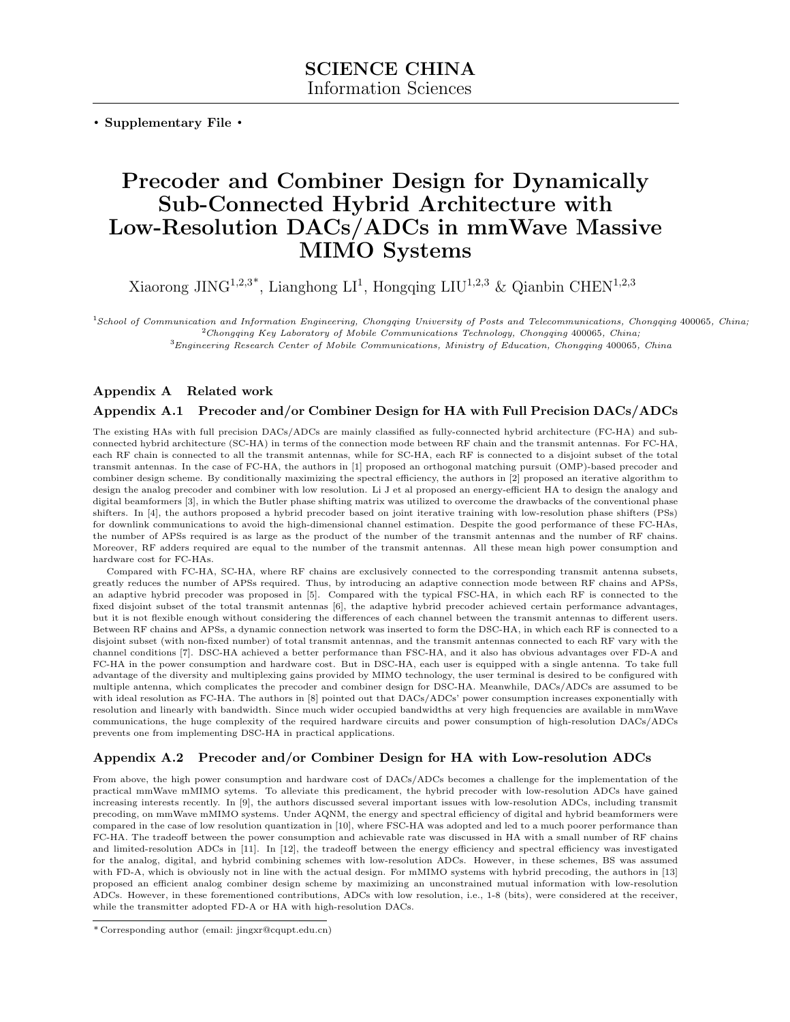. Supplementary File .

# Precoder and Combiner Design for Dynamically Sub-Connected Hybrid Architecture with Low-Resolution DACs/ADCs in mmWave Massive MIMO Systems

Xiaorong JING<sup>1,2,3\*</sup>, Lianghong LI<sup>1</sup>, Hongqing LIU<sup>1,2,3</sup> & Qianbin CHEN<sup>1,2,3</sup>

<sup>1</sup>School of Communication and Information Engineering, Chongqing University of Posts and Telecommunications, Chongqing 400065, China;  ${}^{2}Chongqing Key Laboratory$  of Mobile Communications Technology, Chongqing 400065, China;

 ${}^{3}$ Engineering Research Center of Mobile Communications, Ministry of Education, Chongqing 400065, China

# Appendix A Related work

# Appendix A.1 Precoder and/or Combiner Design for HA with Full Precision DACs/ADCs

The existing HAs with full precision DACs/ADCs are mainly classified as fully-connected hybrid architecture (FC-HA) and subconnected hybrid architecture (SC-HA) in terms of the connection mode between RF chain and the transmit antennas. For FC-HA, each RF chain is connected to all the transmit antennas, while for SC-HA, each RF is connected to a disjoint subset of the total transmit antennas. In the case of FC-HA, the authors in [\[1\]](#page-8-0) proposed an orthogonal matching pursuit (OMP)-based precoder and combiner design scheme. By conditionally maximizing the spectral efficiency, the authors in [\[2\]](#page-9-0) proposed an iterative algorithm to design the analog precoder and combiner with low resolution. Li J et al proposed an energy-efficient HA to design the analogy and digital beamformers [\[3\]](#page-9-1), in which the Butler phase shifting matrix was utilized to overcome the drawbacks of the conventional phase shifters. In [\[4\]](#page-9-2), the authors proposed a hybrid precoder based on joint iterative training with low-resolution phase shifters (PSs) for downlink communications to avoid the high-dimensional channel estimation. Despite the good performance of these FC-HAs, the number of APSs required is as large as the product of the number of the transmit antennas and the number of RF chains. Moreover, RF adders required are equal to the number of the transmit antennas. All these mean high power consumption and hardware cost for FC-HAs.

Compared with FC-HA, SC-HA, where RF chains are exclusively connected to the corresponding transmit antenna subsets, greatly reduces the number of APSs required. Thus, by introducing an adaptive connection mode between RF chains and APSs, an adaptive hybrid precoder was proposed in [\[5\]](#page-9-3). Compared with the typical FSC-HA, in which each RF is connected to the fixed disjoint subset of the total transmit antennas [\[6\]](#page-9-4), the adaptive hybrid precoder achieved certain performance advantages, but it is not flexible enough without considering the differences of each channel between the transmit antennas to different users. Between RF chains and APSs, a dynamic connection network was inserted to form the DSC-HA, in which each RF is connected to a disjoint subset (with non-fixed number) of total transmit antennas, and the transmit antennas connected to each RF vary with the channel conditions [\[7\]](#page-9-5). DSC-HA achieved a better performance than FSC-HA, and it also has obvious advantages over FD-A and FC-HA in the power consumption and hardware cost. But in DSC-HA, each user is equipped with a single antenna. To take full advantage of the diversity and multiplexing gains provided by MIMO technology, the user terminal is desired to be configured with multiple antenna, which complicates the precoder and combiner design for DSC-HA. Meanwhile, DACs/ADCs are assumed to be with ideal resolution as FC-HA. The authors in [\[8\]](#page-9-6) pointed out that DACs/ADCs' power consumption increases exponentially with resolution and linearly with bandwidth. Since much wider occupied bandwidths at very high frequencies are available in mmWave communications, the huge complexity of the required hardware circuits and power consumption of high-resolution DACs/ADCs prevents one from implementing DSC-HA in practical applications.

# Appendix A.2 Precoder and/or Combiner Design for HA with Low-resolution ADCs

From above, the high power consumption and hardware cost of DACs/ADCs becomes a challenge for the implementation of the practical mmWave mMIMO sytems. To alleviate this predicament, the hybrid precoder with low-resolution ADCs have gained increasing interests recently. In [\[9\]](#page-9-7), the authors discussed several important issues with low-resolution ADCs, including transmit precoding, on mmWave mMIMO systems. Under AQNM, the energy and spectral efficiency of digital and hybrid beamformers were compared in the case of low resolution quantization in [\[10\]](#page-9-8), where FSC-HA was adopted and led to a much poorer performance than FC-HA. The tradeoff between the power consumption and achievable rate was discussed in HA with a small number of RF chains and limited-resolution ADCs in [\[11\]](#page-9-9). In [\[12\]](#page-9-10), the tradeoff between the energy efficiency and spectral efficiency was investigated for the analog, digital, and hybrid combining schemes with low-resolution ADCs. However, in these schemes, BS was assumed with FD-A, which is obviously not in line with the actual design. For mMIMO systems with hybrid precoding, the authors in [\[13\]](#page-9-11) proposed an efficient analog combiner design scheme by maximizing an unconstrained mutual information with low-resolution ADCs. However, in these forementioned contributions, ADCs with low resolution, i.e., 1-8 (bits), were considered at the receiver, while the transmitter adopted FD-A or HA with high-resolution DACs.

<sup>\*</sup> Corresponding author (email: jingxr@cqupt.edu.cn)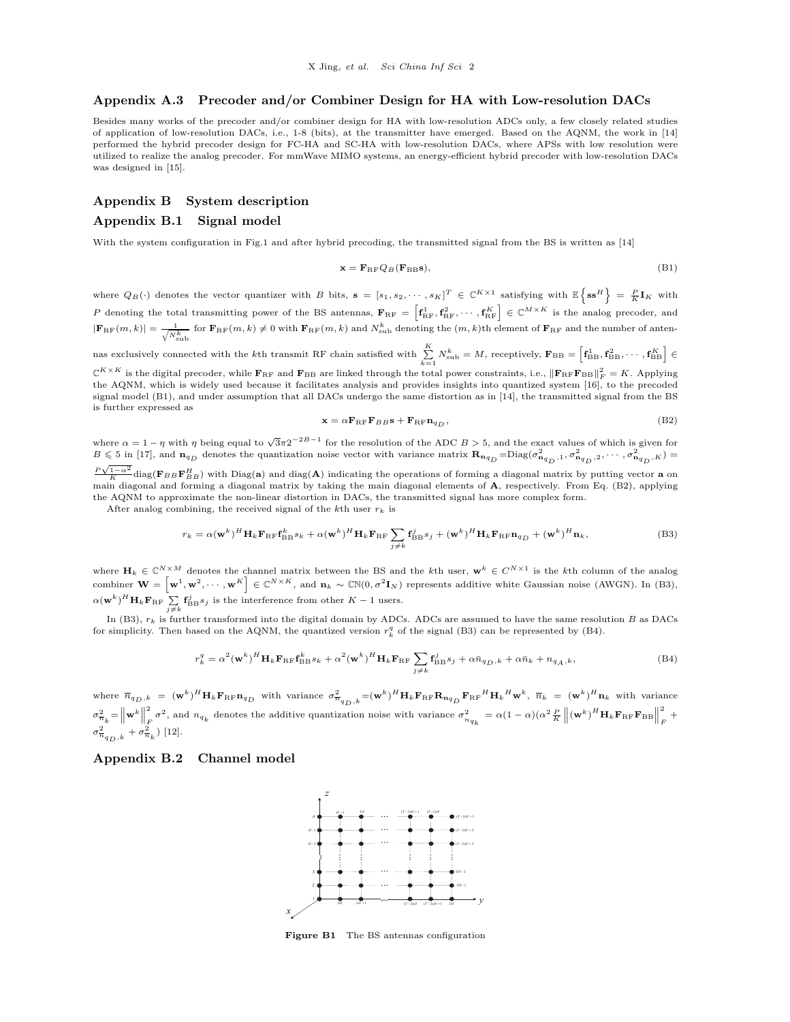# Appendix A.3 Precoder and/or Combiner Design for HA with Low-resolution DACs

Besides many works of the precoder and/or combiner design for HA with low-resolution ADCs only, a few closely related studies of application of low-resolution DACs, i.e., 1-8 (bits), at the transmitter have emerged. Based on the AQNM, the work in [\[14\]](#page-9-12) performed the hybrid precoder design for FC-HA and SC-HA with low-resolution DACs, where APSs with low resolution were utilized to realize the analog precoder. For mmWave MIMO systems, an energy-efficient hybrid precoder with low-resolution DACs was designed in [\[15\]](#page-9-13).

# Appendix B System description

# Appendix B.1 Signal model

With the system configuration in Fig.1 and after hybrid precoding, the transmitted signal from the BS is written as [\[14\]](#page-9-12)

<span id="page-1-0"></span>
$$
\mathbf{x} = \mathbf{F}_{\rm RF} Q_B(\mathbf{F}_{\rm BB} \mathbf{s}),\tag{B1}
$$

where  $Q_B(\cdot)$  denotes the vector quantizer with B bits,  $\mathbf{s} = [s_1, s_2, \cdots, s_K]^T \in \mathbb{C}^{K \times 1}$  satisfying with  $\mathbb{E} \left\{ \mathbf{s} \mathbf{s}^H \right\} = \frac{P}{K} \mathbf{I}_K$  with P denoting the total transmitting power of the BS antennas,  $\mathbf{F}_{\text{RF}} = \begin{bmatrix} \mathbf{f}_{\text{RF}}^1, \mathbf{f}_{\text{RF}}^2, \cdots, \mathbf{f}_{\text{RF}}^K \end{bmatrix} \in \mathbb{C}^{M \times K}$  is the analog precoder, and  $|\mathbf{F}_{\rm RF}(m,k)| = \frac{1}{\sqrt{N_{\rm sub}^k}}$  for  $\mathbf{F}_{\rm RF}(m,k) \neq 0$  with  $\mathbf{F}_{\rm RF}(m,k)$  and  $N_{\rm sub}^k$  denoting the  $(m, k)$ th element of  $\mathbf{F}_{\rm RF}$  and the number of anten-

nas exclusively connected with the *k*th transmit RF chain satisfied with  $\sum_{k=1}^{K} N_{\text{sub}}^{k} = M$ , receptively,  $\mathbf{F}_{\text{BB}} = \left[ \mathbf{f}_{\text{BB}}^1, \mathbf{f}_{\text{BB}}^2, \cdots, \mathbf{f}_{\text{BB}}^K \right] \in$ 

 $\mathbb{C}^{K\times K}$  is the digital precoder, while  $\mathbf{F}_{\text{RF}}$  and  $\mathbf{F}_{\text{BB}}$  are linked through the total power constraints, i.e.,  $\|\mathbf{F}_{\text{RF}}\mathbf{F}_{\text{BB}}\|_F^2 = K$ . Applying the AQNM, which is widely used because it facilitates analysis and provides insights into quantized system [\[16\]](#page-9-14), to the precoded signal model [\(B1\)](#page-1-0), and under assumption that all DACs undergo the same distortion as in [\[14\]](#page-9-12), the transmitted signal from the BS is further expressed as

<span id="page-1-1"></span>
$$
\mathbf{x} = \alpha \mathbf{F}_{\rm RF} \mathbf{F}_{BB} \mathbf{s} + \mathbf{F}_{\rm RF} \mathbf{n}_{q_D},\tag{B2}
$$

where  $\alpha = 1 - \eta$  with  $\eta$  being equal to  $\sqrt{3}\pi 2^{-2B-1}$  for the resolution of the ADC  $B > 5$ , and the exact values of which is given for  $B \le 5$  in [\[17\]](#page-9-15), and  $\mathbf{n}_{q_D}$  denotes the quantization noise vector with varian

 $\frac{P\sqrt{1-\alpha^2}}{K}$ diag( $\mathbf{F}_{BB}\mathbf{F}_{BB}^H$ ) with Diag(a) and diag(A) indicating the operations of forming a diagonal matrix by putting vector a on main diagonal and forming a diagonal matrix by taking the main diagonal elements of A, respectively. From Eq. [\(B2\)](#page-1-1), applying the AQNM to approximate the non-linear distortion in DACs, the transmitted signal has more complex form.

After analog combining, the received signal of the kth user  $r_k$  is

<span id="page-1-2"></span>
$$
r_k = \alpha (\mathbf{w}^k)^H \mathbf{H}_k \mathbf{F}_{\text{RF}} \mathbf{f}_{\text{BB}}^k s_k + \alpha (\mathbf{w}^k)^H \mathbf{H}_k \mathbf{F}_{\text{RF}} \sum_{j \neq k} \mathbf{f}_{\text{BB}}^j s_j + (\mathbf{w}^k)^H \mathbf{H}_k \mathbf{F}_{\text{RF}} \mathbf{n}_{q} + (\mathbf{w}^k)^H \mathbf{n}_k,
$$
\n(B3)

where  $\mathbf{H}_k \in \mathbb{C}^{N \times M}$  denotes the channel matrix between the BS and the kth user,  $\mathbf{w}^k \in C^{N \times 1}$  is the kth column of the analog combiner  $\mathbf{W} = \begin{bmatrix} \mathbf{w}^1, \mathbf{w}^2, \cdots, \mathbf{w}^K \end{bmatrix} \in \mathbb{C}^{N \times K}$ , and  $\mathbf{n}_k \sim \mathbb{C} \mathbb{N}(\mathbf{0}, \sigma^2 \mathbf{I}_N)$  represents additive white Gaussian noise (AWGN). In [\(B3\)](#page-1-2),  $\alpha(\mathbf{w}^k)^H \mathbf{H}_k \mathbf{F}_{\text{RF}} \sum_{j \neq k} \mathbf{f}_{\text{BB}}^j s_j$  is the interference from other  $K-1$  users.

In [\(B3\)](#page-1-2),  $r_k$  is further transformed into the digital domain by ADCs. ADCs are assumed to have the same resolution B as DACs for simplicity. Then based on the AQNM, the quantized version  $r_k^q$  of the signal [\(B3\)](#page-1-2) can be represented by [\(B4\)](#page-1-3).

<span id="page-1-3"></span>
$$
r_k^q = \alpha^2 (\mathbf{w}^k)^H \mathbf{H}_k \mathbf{F}_{\text{RF}} \mathbf{f}_{\text{BB}}^k s_k + \alpha^2 (\mathbf{w}^k)^H \mathbf{H}_k \mathbf{F}_{\text{RF}} \sum_{j \neq k} \mathbf{f}_{\text{BB}}^j s_j + \alpha \bar{n}_{q_D,k} + \alpha \bar{n}_k + n_{q_A,k},
$$
(B4)

where  $\overline{n}_{q_D,k} = (\mathbf{w}^k)^H \mathbf{H}_k \mathbf{F}_{\text{RF}} \mathbf{n}_{q_D}$  with variance  $\sigma_{\overline{n}_{q_D},k}^2 = (\mathbf{w}^k)^H \mathbf{H}_k \mathbf{F}_{\text{RF}} \mathbf{R}_{\mathbf{n}_{q_D}} \mathbf{F}_{\text{RF}}^H \mathbf{H}_k^H \mathbf{w}^k$ ,  $\overline{n}_k = (\mathbf{w}^k)^H \mathbf{n}_k$  with variance  $\sigma_{\overline{n}_k}^2 = \left\| \mathbf{w}^k \right\|$ 2  $\frac{1}{F} \sigma^2$ , and  $n_{q_k}$  denotes the additive quantization noise with variance  $\sigma_{n_{q_k}}^2 = \alpha (1 - \alpha) (\alpha^2 \frac{P}{K} ||(\mathbf{w}^k)^H \mathbf{H}_k \mathbf{F}_{\text{RF}} \mathbf{F}_{\text{BB}}^T ||$ 2  $_F^+$  $\sigma_{\overline{n}_{q_{D},k}}^{2} + \sigma_{\overline{n}_{k}}^{2}$ ) [\[12\]](#page-9-10).

# <span id="page-1-4"></span>Appendix B.2 Channel model



Figure B1 The BS antennas configuration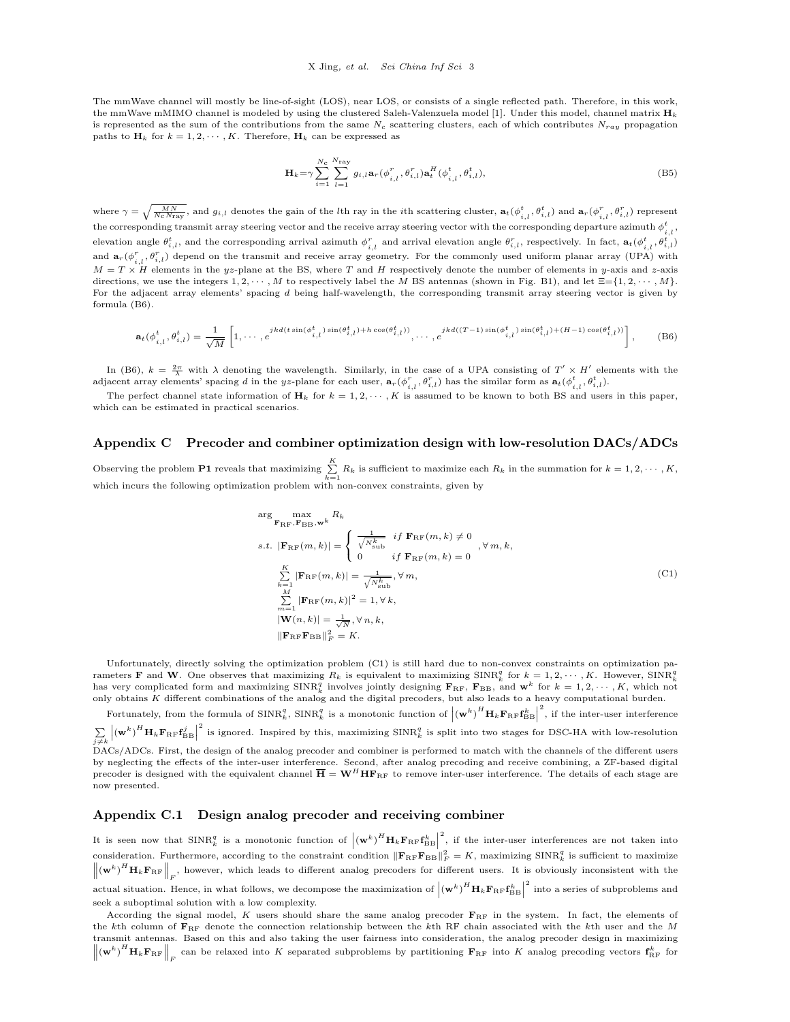The mmWave channel will mostly be line-of-sight (LOS), near LOS, or consists of a single reflected path. Therefore, in this work, the mmWave mMIMO channel is modeled by using the clustered Saleh-Valenzuela model [\[1\]](#page-8-0). Under this model, channel matrix  $H_k$ is represented as the sum of the contributions from the same  $N_c$  scattering clusters, each of which contributes  $N_{ray}$  propagation paths to  $\mathbf{H}_k$  for  $k = 1, 2, \cdots, K$ . Therefore,  $\mathbf{H}_k$  can be expressed as

$$
\mathbf{H}_{k} = \gamma \sum_{i=1}^{N_{\rm c}} \sum_{l=1}^{N_{\rm ray}} g_{i,l} \mathbf{a}_{r}(\boldsymbol{\phi}_{i,l}^{r}, \boldsymbol{\theta}_{i,l}^{r}) \mathbf{a}_{t}^{H}(\boldsymbol{\phi}_{i,l}^{t}, \boldsymbol{\theta}_{i,l}^{t}),
$$
\n(B5)

where  $\gamma = \sqrt{\frac{MN}{N_c N_{\text{ray}}}}$ , and  $g_{i,l}$  denotes the gain of the *l*th ray in the *i*th scattering cluster,  $\mathbf{a}_t(\phi_{i,l}^t, \theta_{i,l}^t)$  and  $\mathbf{a}_r(\phi_{i,l}^r, \theta_{i,l}^r)$  represent the corresponding transmit array steering vector and the receive array steering vector with the corresponding departure azimuth  $\phi_{i,l}^t$ elevation angle  $\theta_{i,l}^t$ , and the corresponding arrival azimuth  $\phi_{i,l}^r$  and arrival elevation angle  $\theta_{i,l}^r$ , respectively. In fact,  $\mathbf{a}_t(\phi_{i,l}^t, \theta_{i,l}^t)$ and  $\mathbf{a}_r(\phi_{i,l}^r, \theta_{i,l}^r)$  depend on the transmit and receive array geometry. For the commonly used uniform planar array (UPA) with  $M = T \times H$  elements in the yz-plane at the BS, where T and H respectively denote the number of elements in y-axis and z-axis directions, we use the integers  $1, 2, \dots, M$  to respectively label the M BS antennas (shown in Fig. [B1\)](#page-1-4), and let  $\Xi$ ={1,2,  $\dots, M$ }. For the adjacent array elements' spacing d being half-wavelength, the corresponding transmit array steering vector is given by formula [\(B6\)](#page-2-0).

<span id="page-2-0"></span>
$$
\mathbf{a}_t(\boldsymbol{\phi}_{i,l}^t, \boldsymbol{\theta}_{i,l}^t) = \frac{1}{\sqrt{M}} \left[ 1, \cdots, e^{jkd(t\sin(\phi_{i,l}^t)\sin(\theta_{i,l}^t) + h\cos(\theta_{i,l}^t))}, \cdots, e^{jkd((T-1)\sin(\phi_{i,l}^t)\sin(\theta_{i,l}^t) + (H-1)\cos(\theta_{i,l}^t))} \right],
$$
(B6)

In [\(B6\)](#page-2-0),  $k = \frac{2\pi}{\lambda}$  with  $\lambda$  denoting the wavelength. Similarly, in the case of a UPA consisting of  $T' \times H'$  elements with the adjacent array elements' spacing d in the yz-plane for each user,  $\mathbf{a}_r(\phi_{i,l}^r, \theta_{i,l}^r)$  has the similar form as  $\mathbf{a}_t(\phi_{i,l}^t, \theta_{i,l}^t)$ .

The perfect channel state information of  $H_k$  for  $k = 1, 2, \dots, K$  is assumed to be known to both BS and users in this paper, which can be estimated in practical scenarios.

## Appendix C Precoder and combiner optimization design with low-resolution DACs/ADCs

Observing the problem **P1** reveals that maximizing  $\sum_{k=1}^{K} R_k$  is sufficient to maximize each  $R_k$  in the summation for  $k = 1, 2, \dots, K$ , which incurs the following optimization problem with non-convex constraints, given by

<span id="page-2-1"></span>
$$
\arg \max_{\mathbf{F}_{\text{RF}}, \mathbf{F}_{\text{BB}}, \mathbf{w}^k} R_k
$$
\n
$$
s.t. \ |\mathbf{F}_{\text{RF}}(m, k)| = \begin{cases} \frac{1}{\sqrt{N_{\text{sub}}^k}} & \text{if } \mathbf{F}_{\text{RF}}(m, k) \neq 0 \\ 0 & \text{if } \mathbf{F}_{\text{RF}}(m, k) = 0 \end{cases}, \forall m, k,
$$
\n
$$
\sum_{k=1}^K |\mathbf{F}_{\text{RF}}(m, k)| = \frac{1}{\sqrt{N_{\text{sub}}^k}}, \forall m,
$$
\n
$$
\sum_{m=1}^M |\mathbf{F}_{\text{RF}}(m, k)|^2 = 1, \forall k,
$$
\n
$$
|\mathbf{W}(n, k)| = \frac{1}{\sqrt{N}}, \forall n, k,
$$
\n
$$
\|\mathbf{F}_{\text{RF}}\mathbf{F}_{\text{BB}}\|_F^2 = K.
$$
\n(C1)

Unfortunately, directly solving the optimization problem [\(C1\)](#page-2-1) is still hard due to non-convex constraints on optimization parameters **F** and **W**. One observes that maximizing  $R_k$  is equivalent to maximizing  $\text{SINR}_k^q$  for  $k = 1, 2, \dots, K$ . However,  $\text{SINR}_k^q$ has very complicated form and maximizing  $\text{SINR}_k^q$  involves jointly designing  $\mathbf{F}_{\text{RF}}$ ,  $\mathbf{F}_{\text{BB}}$ , and  $\mathbf{w}^k$  for  $k = 1, 2, \cdots, K$ , which not only obtains K different combinations of the analog and the digital precoders, but also leads to a heavy computational burden.

Fortunately, from the formula of  $\text{SINR}_k^q$ ,  $\text{SINR}_k^q$  is a monotonic function of  $\left| (\mathbf{w}^k)^H \mathbf{H}_k \mathbf{F}_{\text{RF}} \mathbf{f}_{\text{BB}}^k \right|^2$ , if the inter-user interference ļ  $\sum_{j\neq k}$  $\left| \left(\mathbf{w}^{k}\right)^{H}\mathbf{H}_{k}\mathbf{F}_{\textrm{RF}}\mathbf{f}_{\textrm{BB}}^{j}\right|$ <sup>2</sup> is ignored. Inspired by this, maximizing  $SINR_k^q$  is split into two stages for DSC-HA with low-resolution DACs/ADCs. First, the design of the analog precoder and combiner is performed to match with the channels of the different users by neglecting the effects of the inter-user interference. Second, after analog precoding and receive combining, a ZF-based digital precoder is designed with the equivalent channel  $\overline{H} = W^H H F_{RF}$  to remove inter-user interference. The details of each stage are now presented.

# Appendix C.1 Design analog precoder and receiving combiner

It is seen now that  $\text{SINR}_{k}^{q}$  is a monotonic function of  $\left| \left(\mathbf{w}^{k}\right)^{H} \mathbf{H}_{k} \mathbf{F}_{\text{RF}} \mathbf{f}_{\text{BB}}^{k} \right|$ 2 , if the inter-user interferences are not taken into consideration. Furthermore, according to the constraint condition  $\|\mathbf{F}_{\text{RF}}\mathbf{F}_{\text{BB}}\|_F^2 = K$ , maximizing  $\text{SINR}_k^q$  is sufficient to maximize  $\left\| \left(\mathbf{w}^{k}\right)^{H} \mathbf{H}_{k} \mathbf{F}_{\text{RF}} \right\|_{F}$ , however, which leads to different analog precoders for different users. It is obviously inconsistent with the actual situation. Hence, in what follows, we decompose the maximization of  $((\mathbf{w}^k)^H \mathbf{H}_k \mathbf{F}_{\text{RF}} \mathbf{f}_{\text{BB}}^k)$ 2 into a series of subproblems and seek a suboptimal solution with a low complexity.

According the signal model, K users should share the same analog precoder  $\mathbf{F}_{\text{RF}}$  in the system. In fact, the elements of the kth column of  $\mathbf{F}_{RF}$  denote the connection relationship between the kth RF chain associated with the kth user and the M transmit antennas. Based on this and also taking the user fairness into consideration, the analog precoder design in maximizing  $\left\| \left(\mathbf{w}^k\right)^H \mathbf{H}_k \mathbf{F}_{\text{RF}} \right\|_F$  can be relaxed into K separated subproblems by partitioning  $\mathbf{F}_{\text{RF}}$  into K analog precoding vectors  $\mathbf{f}_{\text{RF}}^k$  for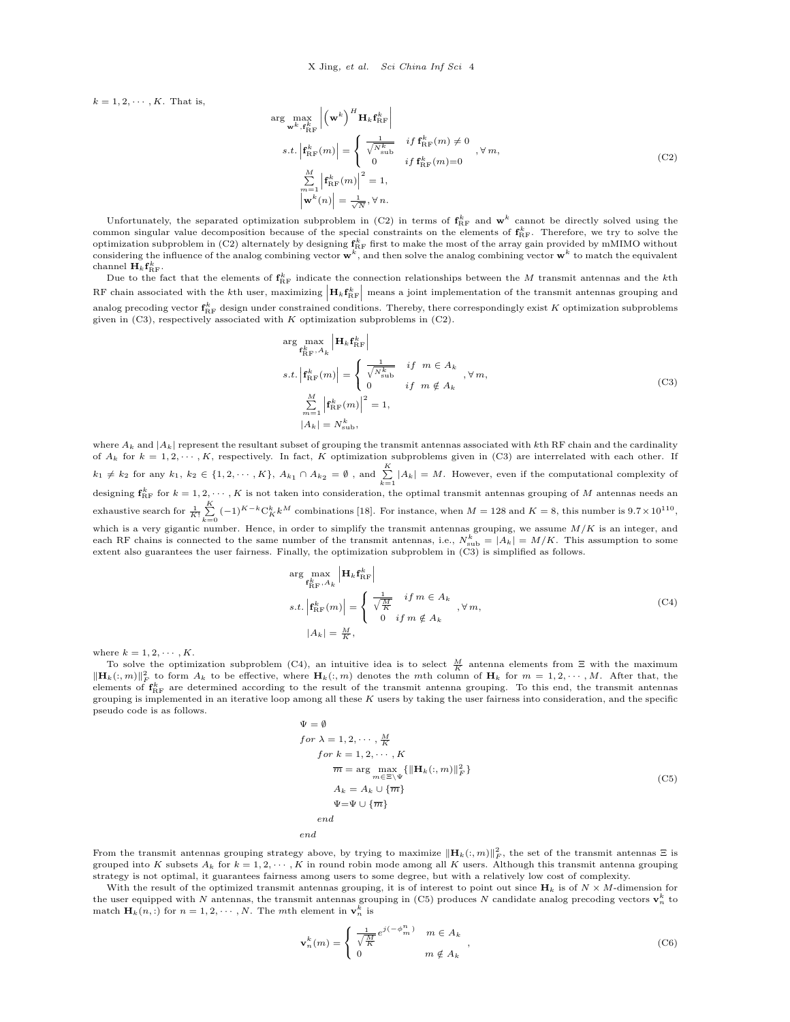$k = 1, 2, \cdots, K$ . That is,

<span id="page-3-0"></span>
$$
\arg \max_{\mathbf{w}^k, \mathbf{f}_{\text{RF}}^k} \left| \left( \mathbf{w}^k \right)^H \mathbf{H}_k \mathbf{f}_{\text{RF}}^k \right|
$$
\n
$$
s.t. \left| \mathbf{f}_{\text{RF}}^k(m) \right| = \begin{cases} \frac{1}{\sqrt{N_{\text{sub}}^k}} & \text{if } \mathbf{f}_{\text{RF}}^k(m) \neq 0 \\ 0 & \text{if } \mathbf{f}_{\text{RF}}^k(m) = 0 \end{cases}, \forall m,
$$
\n
$$
\sum_{m=1}^M \left| \mathbf{f}_{\text{RF}}^k(m) \right|^2 = 1,
$$
\n
$$
\left| \mathbf{w}^k(n) \right| = \frac{1}{\sqrt{N}}, \forall n.
$$
\n(C2)

Unfortunately, the separated optimization subproblem in [\(C2\)](#page-3-0) in terms of  $\mathbf{f}_{\text{RF}}^{k}$  and  $\mathbf{w}^{k}$  cannot be directly solved using the common singular value decomposition because of the special constraints on the elements of  $\mathbf{f}_{\mathrm{RF}}^k$ . Therefore, we try to solve the optimization subproblem in [\(C2\)](#page-3-0) alternately by designing  $f_{\rm RF}^k$  first to make the most of the array gain provided by mMIMO without considering the influence of the analog combining vector  $\mathbf{w}^k$ , and then solve th channel  $H_k \mathbf{f}_{\text{RF}}^k$ .

Due to the fact that the elements of  $f_{\rm RF}^k$  indicate the connection relationships between the M transmit antennas and the kth RF chain associated with the kth user, maximizing  $\left| \mathbf{H}_k \mathbf{f}_{\text{RF}}^k \right|$  means a joint implementation of the transmit antennas grouping and analog precoding vector  ${\bf f}_\text{RF}^k$  design under constrained conditions. Thereby, there correspondingly exist  $K$  optimization subproblems given in  $(C3)$ , respectively associated with  $K$  optimization subproblems in  $(C2)$ .

<span id="page-3-1"></span>
$$
\arg\max_{\mathbf{f}_{\text{RF}}^k, A_k} \left| \mathbf{H}_k \mathbf{f}_{\text{RF}}^k \right|
$$
\n
$$
s.t. \left| \mathbf{f}_{\text{RF}}^k(m) \right| = \begin{cases} \frac{1}{\sqrt{N_{\text{sub}}^k}} & \text{if } m \in A_k \\ 0 & \text{if } m \notin A_k \end{cases}, \forall m,
$$
\n
$$
\sum_{m=1}^M \left| \mathbf{f}_{\text{RF}}^k(m) \right|^2 = 1,
$$
\n
$$
|A_k| = N_{\text{sub}}^k,
$$
\n
$$
(C3)
$$

where  $A_k$  and  $|A_k|$  represent the resultant subset of grouping the transmit antennas associated with kth RF chain and the cardinality of  $A_k$  for  $k = 1, 2, \dots, K$ , respectively. In fact, K optimization subproblems given in [\(C3\)](#page-3-1) are interrelated with each other. If  $k_1 \neq k_2$  for any  $k_1, k_2 \in \{1, 2, \cdots, K\}, A_{k_1} \cap A_{k_2} = \emptyset$ , and  $\sum_{k=1}^K |A_k| = M$ . However, even if the computational complexity of designing  $f_{RF}^k$  for  $k = 1, 2, \dots, K$  is not taken into consideration, the optimal transmit antennas grouping of M antennas needs an exhaustive search for  $\frac{1}{K!} \sum_{k=0}^{K} (-1)^{K-k} C_K^k k^M$  combinations [\[18\]](#page-9-16). For instance, when  $M = 128$  and  $K = 8$ , this number is  $9.7 \times 10^{110}$ , which is a very gigantic number. Hence, in order to simplify the transmit antennas grouping, we assume  $M/K$  is an integer, and each RF chains is connected to the same number of the transmit antennas, i.e.,  $N_{\text{sub}}^k = |A_k|$ extent also guarantees the user fairness. Finally, the optimization subproblem in [\(C3\)](#page-3-1) is simplified as follows.

<span id="page-3-2"></span>
$$
\arg\max_{\mathbf{f}_{\text{RF}}^{k}, A_{k}} \left| \mathbf{H}_{k} \mathbf{f}_{\text{RF}}^{k} \right|
$$
\n
$$
s.t. \left| \mathbf{f}_{\text{RF}}^{k}(m) \right| = \begin{cases} \frac{1}{\sqrt{\frac{M}{K}}} & \text{if } m \in A_{k} \\ 0 & \text{if } m \notin A_{k} \end{cases}, \forall m,
$$
\n
$$
|A_{k}| = \frac{M}{K}, \tag{C4}
$$

where  $k = 1, 2, \cdots, K$ .

To solve the optimization subproblem [\(C4\)](#page-3-2), an intuitive idea is to select  $\frac{M}{K}$  antenna elements from  $\Xi$  with the maximum  $\|\mathbf{H}_k(:,m)\|_F^2$  to form  $A_k$  to be effective, where  $\mathbf{H}_k(:,m)$  denotes the mth column of  $\mathbf{H}_k$  for  $m = 1, 2, \cdots, M$ . After that, the elements of  ${\bf f}_{\rm RF}^k$  are determined according to the result of the transmit antenna grouping. To this end, the transmit antennas grouping is implemented in an iterative loop among all these K users by taking the user fairness into consideration, and the specific pseudo code is as follows.

<span id="page-3-3"></span>
$$
\Psi = \emptyset
$$
\n
$$
for \lambda = 1, 2, \dots, \frac{M}{K}
$$
\n
$$
for \ k = 1, 2, \dots, K
$$
\n
$$
\overline{m} = \arg \max_{m \in \Sigma \setminus \Psi} \{ ||\mathbf{H}_k(:,m)||_F^2 \}
$$
\n
$$
A_k = A_k \cup \{\overline{m}\}
$$
\n
$$
\Psi = \Psi \cup \{\overline{m}\}
$$
\n
$$
end
$$
\n
$$
(C5)
$$

From the transmit antennas grouping strategy above, by trying to maximize  $\|\mathbf{H}_k(:,m)\|_F^2$ , the set of the transmit antennas  $\Xi$  is grouped into K subsets  $A_k$  for  $k = 1, 2, \dots, K$  in round robin mode among all K users. Although this transmit antenna grouping strategy is not optimal, it guarantees fairness among users to some degree, but with a relatively low cost of complexity.

With the result of the optimized transmit antennas grouping, it is of interest to point out since  $H_k$  is of  $N \times M$ -dimension for the user equipped with N antennas, the transmit antennas grouping in [\(C5\)](#page-3-3) produces N candidate analog precoding vectors  $\mathbf{v}_n^k$  to match  $\mathbf{H}_k(n,:)$  for  $n = 1, 2, \cdots, N$ . The mth element in  $\mathbf{v}_n^k$  is

$$
\mathbf{v}_n^k(m) = \begin{cases} \frac{1}{\sqrt{\frac{M}{K}}} e^{j(-\phi_m^m)} & m \in A_k \\ 0 & m \notin A_k \end{cases} \tag{C6}
$$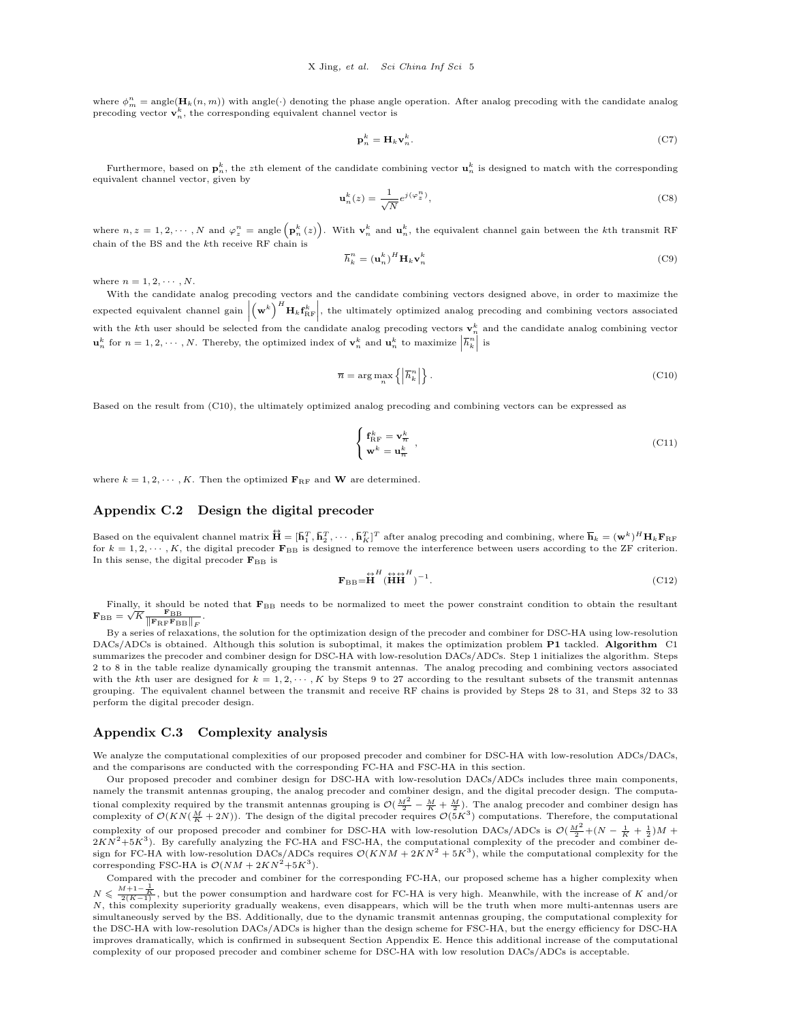where  $\phi_m^n = \text{angle}(\mathbf{H}_k(n,m))$  with angle( $\cdot$ ) denoting the phase angle operation. After analog precoding with the candidate analog precoding vector  $\mathbf{v}_n^k$ , the corresponding equivalent channel vector is

$$
\mathbf{p}_n^k = \mathbf{H}_k \mathbf{v}_n^k. \tag{C7}
$$

Furthermore, based on  $\mathbf{p}_n^k$ , the zth element of the candidate combining vector  $\mathbf{u}_n^k$  is designed to match with the corresponding equivalent channel vector, given by

$$
\mathbf{u}_n^k(z) = \frac{1}{\sqrt{N}} e^{j(\varphi_2^n)},\tag{C8}
$$

where  $n, z = 1, 2, \dots, N$  and  $\varphi_z^n = \text{angle}(\mathbf{p}_n^k(z))$ . With  $\mathbf{v}_n^k$  and  $\mathbf{u}_n^k$ , the equivalent channel gain between the kth transmit RF chain of the BS and the kth receive RF chain is

$$
\overline{h}_k^n = (\mathbf{u}_n^k)^H \mathbf{H}_k \mathbf{v}_n^k
$$
 (C9)

where  $n = 1, 2, \cdots, N$ .

With the candidate analog precoding vectors and the candidate combining vectors designed above, in order to maximize the expected equivalent channel gain  $(\mathbf{w}^k)^H \mathbf{H}_k \mathbf{f}_{\text{RF}}^k$ , the ultimately optimized analog precoding and combining vectors associated with the kth user should be selected from the candidate analog precoding vectors  $\mathbf{v}_n^k$  and the candidate analog combining vector  $\mathbf{u}_n^k$  for  $n = 1, 2, \dots, N$ . Thereby, the optimized index of  $\mathbf{v}_n^k$  and  $\mathbf{u}_n^k$  to maximize  $\left| \overline{h}_k^n \right|$  is

<span id="page-4-0"></span>
$$
\overline{n} = \arg\max_{n} \left\{ \left| \overline{h}_k^n \right| \right\}.
$$
\n(C10)

Based on the result from [\(C10\)](#page-4-0), the ultimately optimized analog precoding and combining vectors can be expressed as

$$
\begin{cases} \mathbf{f}_{\text{RF}}^{k} = \mathbf{v}_{\overline{n}}^{k} \\ \mathbf{w}^{k} = \mathbf{u}_{\overline{n}}^{k} \end{cases},\tag{C11}
$$

where  $k = 1, 2, \dots, K$ . Then the optimized  $\mathbf{F}_{\text{RF}}$  and **W** are determined.

# Appendix C.2 Design the digital precoder

Based on the equivalent channel matrix  $\dot{\vec{H}} = [\bar{h}_1^T, \bar{h}_2^T, \cdots, \bar{h}_K^T]^T$  after analog precoding and combining, where  $\overline{h}_k = (\mathbf{w}^k)^H \mathbf{H}_k \mathbf{F}_{\text{RF}}$ for  $k = 1, 2, \dots, K$ , the digital precoder  $\mathbf{F}_{\text{BB}}$  is designed to remove the interference between users according to the ZF criterion. In this sense, the digital precoder  $\mathbf{F}_\mathrm{BB}$  is

$$
\mathbf{F}_{\rm BB} = \stackrel{\leftrightarrow}{\mathbf{H}}^H (\stackrel{\leftrightarrow}{\mathbf{H}} \stackrel{\leftrightarrow}{\mathbf{H}}^H)^{-1}.
$$
 (C12)

Finally, it should be noted that  $F_{BB}$  needs to be normalized to meet the power constraint condition to obtain the resultant  $\mathbf{F}_{\text{BB}} = \sqrt{K} \frac{\mathbf{F}_{\text{BB}}}{\|\mathbf{F}_{\text{RF}}\mathbf{F}_{\text{BB}}\|_F}$ .

By a series of relaxations, the solution for the optimization design of the precoder and combiner for DSC-HA using low-resolution DACs/ADCs is obtained. Although this solution is suboptimal, it makes the optimization problem P1 tackled. Algorithm [C1](#page-5-0) summarizes the precoder and combiner design for DSC-HA with low-resolution DACs/ADCs. Step 1 initializes the algorithm. Steps 2 to 8 in the table realize dynamically grouping the transmit antennas. The analog precoding and combining vectors associated with the kth user are designed for  $k = 1, 2, \dots, K$  by Steps 9 to 27 according to the resultant subsets of the transmit antennas grouping. The equivalent channel between the transmit and receive RF chains is provided by Steps 28 to 31, and Steps 32 to 33 perform the digital precoder design.

#### Appendix C.3 Complexity analysis

We analyze the computational complexities of our proposed precoder and combiner for DSC-HA with low-resolution ADCs/DACs, and the comparisons are conducted with the corresponding FC-HA and FSC-HA in this section.

Our proposed precoder and combiner design for DSC-HA with low-resolution DACs/ADCs includes three main components, namely the transmit antennas grouping, the analog precoder and combiner design, and the digital precoder design. The computational complexity required by the transmit antennas grouping is  $\mathcal{O}(\frac{M^2}{2} - \frac{M}{K} + \frac{M}{2})$ . The analog precoder and combiner design has complexity of  $\mathcal{O}(KN(\frac{M}{K}+2N))$ . The design of the digital precoder requires  $\mathcal{O}(5K^3)$  computations. Therefore, the computational complexity of our proposed precoder and combiner for DSC-HA with low-resolution DACs/ADCs is  $\mathcal{O}(\frac{M^2}{2} + (N - \frac{1}{K} + \frac{1}{2})M +$  $2KN^2+5K^3$ ). By carefully analyzing the FC-HA and FSC-HA, the computational complexity of the precoder and combiner design for FC-HA with low-resolution DACs/ADCs requires  $\mathcal{O}(KNM + 2KN^2 + 5K^3)$ , while the computational complexity for the corresponding FSC-HA is  $\mathcal{O}(NM + 2KN^2+5K^3)$ .

Compared with the precoder and combiner for the corresponding FC-HA, our proposed scheme has a higher complexity when

 $N \leq \frac{M+1-\frac{1}{K}}{2(K-1)}$ , but the power consumption and hardware cost for FC-HA is very high. Meanwhile, with the increase of K and/or N, this complexity superiority gradually weakens, even disappears, which will be the truth when more multi-antennas users are simultaneously served by the BS. Additionally, due to the dynamic transmit antennas grouping, the computational complexity for the DSC-HA with low-resolution DACs/ADCs is higher than the design scheme for FSC-HA, but the energy efficiency for DSC-HA improves dramatically, which is confirmed in subsequent Section [Appendix E.](#page-6-0) Hence this additional increase of the computational complexity of our proposed precoder and combiner scheme for DSC-HA with low resolution DACs/ADCs is acceptable.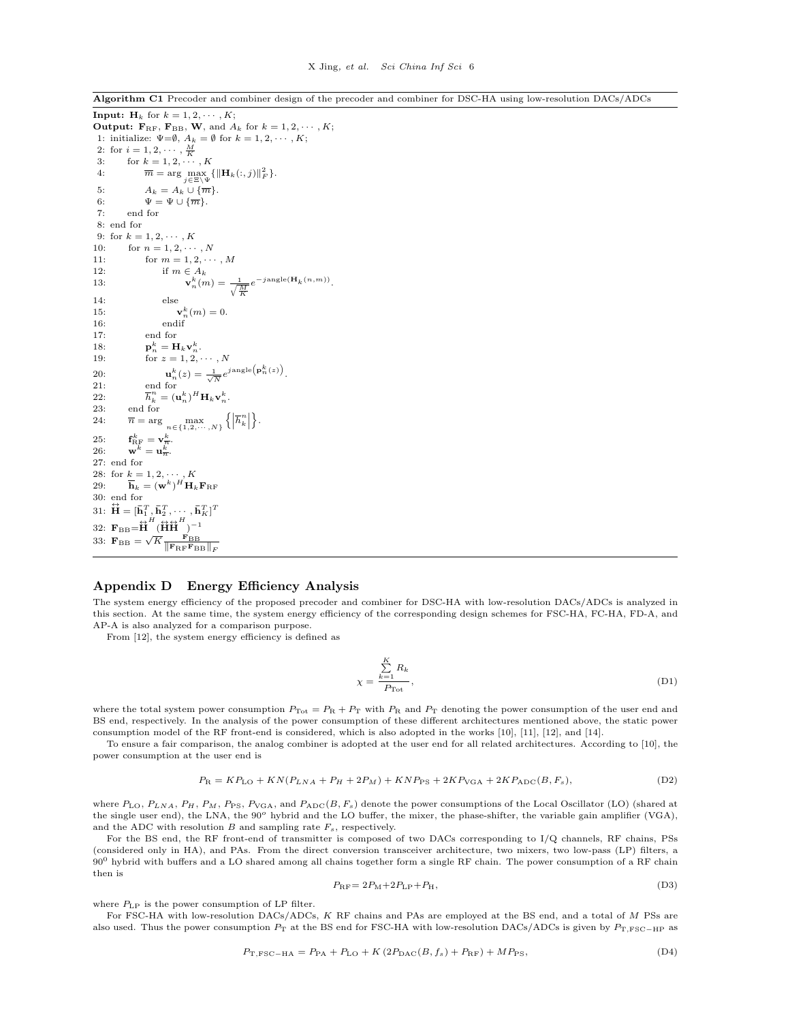<span id="page-5-0"></span>Algorithm C1 Precoder and combiner design of the precoder and combiner for DSC-HA using low-resolution DACs/ADCs

```
Input: H_k for k = 1, 2, \dots, K;Output: \mathbf{F}_{\text{RF}}, \mathbf{F}_{\text{BB}}, W, and A_k for k = 1, 2, \dots, K;
 1: initialize: \Psi = \emptyset, A_k = \emptyset for k = 1, 2, \dots, K;
  2: for i = 1, 2, \cdots, \frac{M}{K}3: for k = 1, 2, \cdots, K4: \overline{m} = \arg \max_{j \in \Xi \setminus \Psi} \{ ||\mathbf{H}_k(:,j)||_F^2 \}.5: A_k = A_k \cup {\overline{m}}.
 6: \Psi = \Psi \cup {\overline{m}}.7: end for
 8: end for
 9: for k = 1, 2, \cdots, K10: for n = 1, 2, \cdots, N11: for m = 1, 2, \cdots, M12: if m \in A_k<br>13: \mathbf{v}^k(m)13: \mathbf{v}_n^k(m) = \frac{1}{\sqrt{\frac{M}{K}}} e^{-j\text{angle}(\mathbf{H}_k(n,m))}.14: else
15:
                                      _{n}^{k}(m)=0.16: endif
17: end for
18:
                         k_n^k = \mathbf{H}_k \mathbf{v}_n^k.
19: for z = 1, 2, \cdots, N20:k_n^k(z) = \frac{1}{\sqrt{N}} e^{j \text{angle}(\mathbf{p}_n^k(z))}.21: end for
22:n_k^n = (\mathbf{u}_n^k)^H \mathbf{H}_k \mathbf{v}_n^k.
23: end for
24: \overline{n} = \arg \max_{n \in \{1, 2, \cdots, N\}} \left\{ \left| \overline{h}_k^n \right| \right\}o
.
25: f
25: \mathbf{f}_{\text{RF}}^k = \mathbf{v}_{\overline{n}}^k<br>
26: \mathbf{w}^k = \mathbf{u}_{\overline{n}}^k.
27: end for
28: for k = 1, 2, \cdots, K29: \overline{\mathbf{h}}_k = (\mathbf{w}^k)^H \mathbf{H}_k \mathbf{F}_{\text{RF}}30: end for
31: \mathbf{\ddot{H}} = [\mathbf{\bar{h}}_1^T, \mathbf{\bar{h}}_2^T, \cdots, \mathbf{\bar{h}}_K^T]^T32: \mathbf{F}_\mathrm{BB} = \stackrel{\leftrightarrow}{\mathbf{H}}^H (\stackrel{\leftrightarrow}{\mathbf{H}} \stackrel{\leftrightarrow}{\mathbf{H}}^H)^{-1}33: \mathbf{F}_{\text{BB}} = \sqrt{K} \frac{\mathbf{F}_{\text{BB}}}{\|\mathbf{F}_{\text{RF}}\mathbf{F}_{\text{BB}}\|_F}
```
#### Appendix D Energy Efficiency Analysis

The system energy efficiency of the proposed precoder and combiner for DSC-HA with low-resolution DACs/ADCs is analyzed in this section. At the same time, the system energy efficiency of the corresponding design schemes for FSC-HA, FC-HA, FD-A, and AP-A is also analyzed for a comparison purpose.

From [\[12\]](#page-9-10), the system energy efficiency is defined as

$$
\chi = \frac{\sum_{k=1}^{K} R_k}{P_{\text{Tot}}},\tag{D1}
$$

where the total system power consumption  $P_{\text{Tot}} = P_R + P_T$  with  $P_R$  and  $P_T$  denoting the power consumption of the user end and BS end, respectively. In the analysis of the power consumption of these different architectures mentioned above, the static power consumption model of the RF front-end is considered, which is also adopted in the works [\[10\]](#page-9-8), [\[11\]](#page-9-9), [\[12\]](#page-9-10), and [\[14\]](#page-9-12).

To ensure a fair comparison, the analog combiner is adopted at the user end for all related architectures. According to [\[10\]](#page-9-8), the power consumption at the user end is

<span id="page-5-1"></span>
$$
P_{\rm R} = KP_{\rm LO} + KN(P_{LNA} + P_H + 2P_M) + KNP_{\rm PS} + 2KP_{\rm VGA} + 2KP_{\rm ADC}(B, F_s),\tag{D2}
$$

where  $P_{\text{LO}}$ ,  $P_{LNA}$ ,  $P_{H}$ ,  $P_{M}$ ,  $P_{PS}$ ,  $P_{VGA}$ , and  $P_{ADC}(B, F_s)$  denote the power consumptions of the Local Oscillator (LO) (shared at the single user end), the LNA, the 90<sup>o</sup> hybrid and the LO buffer, the mixer, the phase-shifter, the variable gain amplifier (VGA), and the ADC with resolution  $B$  and sampling rate  $F_s$ , respectively.

For the BS end, the RF front-end of transmitter is composed of two DACs corresponding to I/Q channels, RF chains, PSs (considered only in HA), and PAs. From the direct conversion transceiver architecture, two mixers, two low-pass (LP) filters, a  $90<sup>0</sup>$  hybrid with buffers and a LO shared among all chains together form a single RF chain. The power consumption of a RF chain then is

$$
P_{\rm RF} = 2P_{\rm M} + 2P_{\rm LP} + P_{\rm H},\tag{D3}
$$

where  $P_{\text{LP}}$  is the power consumption of LP filter.

For FSC-HA with low-resolution DACs/ADCs, K RF chains and PAs are employed at the BS end, and a total of M PSs are also used. Thus the power consumption  $P_T$  at the BS end for FSC-HA with low-resolution DACs/ADCs is given by  $P_{T,FSC-HP}$  as

$$
P_{\text{T,FSC-HA}} = P_{\text{PA}} + P_{\text{LO}} + K \left( 2P_{\text{DAC}}(B, f_s) + P_{\text{RF}} \right) + MP_{\text{PS}},\tag{D4}
$$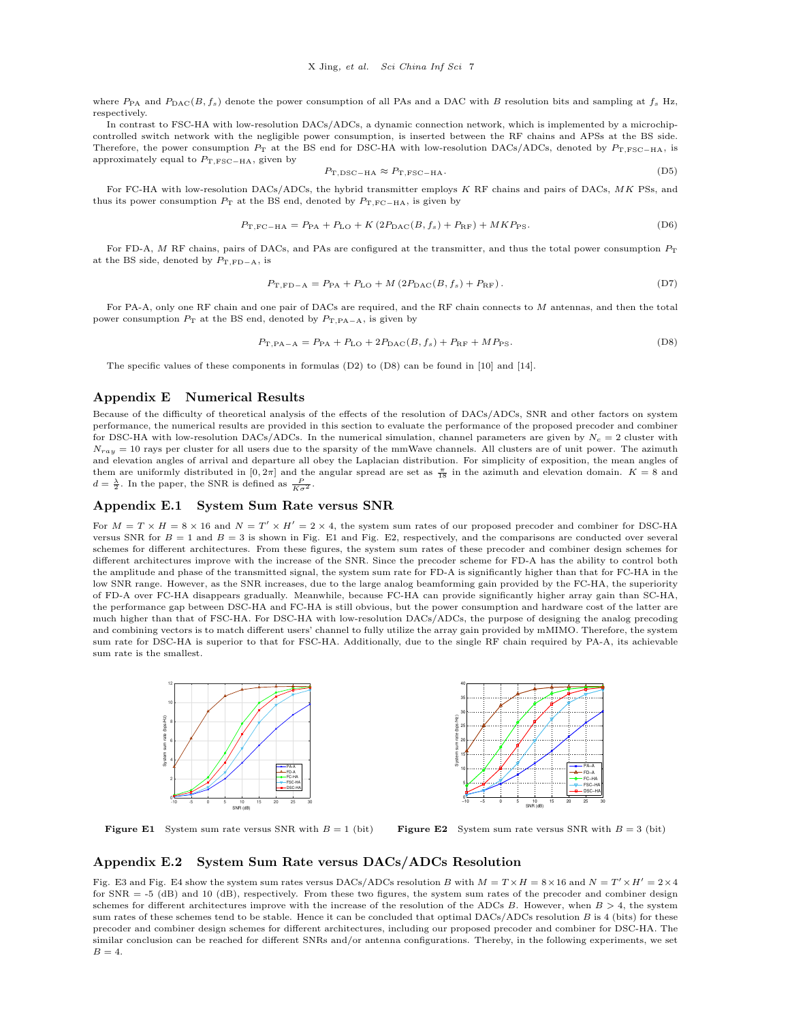where  $P_{PA}$  and  $P_{DAC}(B, f_s)$  denote the power consumption of all PAs and a DAC with B resolution bits and sampling at  $f_s$  Hz, respectively.

In contrast to FSC-HA with low-resolution DACs/ADCs, a dynamic connection network, which is implemented by a microchipcontrolled switch network with the negligible power consumption, is inserted between the RF chains and APSs at the BS side. Therefore, the power consumption  $P_T$  at the BS end for DSC-HA with low-resolution DACs/ADCs, denoted by  $P_{T,FSC-HA}$ , is approximately equal to  $P_{\text{T,FSC-HA}}$ , given by

$$
P_{\text{T, DSC-HA}} \approx P_{\text{T, FSC-HA}}.\tag{D5}
$$

For FC-HA with low-resolution DACs/ADCs, the hybrid transmitter employs K RF chains and pairs of DACs, MK PSs, and thus its power consumption  $P_T$  at the BS end, denoted by  $P_{T,F,C-HA}$ , is given by

$$
P_{\text{T,FC-HA}} = P_{\text{PA}} + P_{\text{LO}} + K \left( 2P_{\text{DAC}}(B, f_s) + P_{\text{RF}} \right) + MKP_{\text{PS}}.
$$
 (D6)

For FD-A,  $M$  RF chains, pairs of DACs, and PAs are configured at the transmitter, and thus the total power consumption  $P_T$ at the BS side, denoted by  $P_{\text{T}}$ <sub>FD</sub><sub>-A</sub>, is

$$
P_{\text{T,FD-A}} = P_{\text{PA}} + P_{\text{LO}} + M \left( 2P_{\text{DAC}}(B, f_s) + P_{\text{RF}} \right). \tag{D7}
$$

For PA-A, only one RF chain and one pair of DACs are required, and the RF chain connects to M antennas, and then the total power consumption  $P_T$  at the BS end, denoted by  $P_{T,PA-A}$ , is given by

<span id="page-6-1"></span>
$$
P_{\text{T},\text{PA}-\text{A}} = P_{\text{PA}} + P_{\text{LO}} + 2P_{\text{DAC}}(B, f_s) + P_{\text{RF}} + MP_{\text{PS}}.
$$
\n(D8)

The specific values of these components in formulas [\(D2\)](#page-5-1) to [\(D8\)](#page-6-1) can be found in [\[10\]](#page-9-8) and [\[14\]](#page-9-12).

## <span id="page-6-0"></span>Appendix E Numerical Results

Because of the difficulty of theoretical analysis of the effects of the resolution of DACs/ADCs, SNR and other factors on system performance, the numerical results are provided in this section to evaluate the performance of the proposed precoder and combiner for DSC-HA with low-resolution DACs/ADCs. In the numerical simulation, channel parameters are given by  $N_c = 2$  cluster with  $N_{ray} = 10$  rays per cluster for all users due to the sparsity of the mmWave channels. All clusters are of unit power. The azimuth and elevation angles of arrival and departure all obey the Laplacian distribution. For simplicity of exposition, the mean angles of them are uniformly distributed in  $[0, 2\pi]$  and the angular spread are set as  $\frac{\pi}{18}$  in the azimuth and elevation domain.  $K = 8$  and  $d = \frac{\lambda}{2}$ . In the paper, the SNR is defined as  $\frac{P}{K\sigma^2}$ .

## Appendix E.1 System Sum Rate versus SNR

For  $M = T \times H = 8 \times 16$  and  $N = T' \times H' = 2 \times 4$ , the system sum rates of our proposed precoder and combiner for DSC-HA versus SNR for  $B = 1$  and  $B = 3$  is shown in Fig. [E1](#page-6-2) and Fig. [E2,](#page-6-2) respectively, and the comparisons are conducted over several schemes for different architectures. From these figures, the system sum rates of these precoder and combiner design schemes for different architectures improve with the increase of the SNR. Since the precoder scheme for FD-A has the ability to control both the amplitude and phase of the transmitted signal, the system sum rate for FD-A is significantly higher than that for FC-HA in the low SNR range. However, as the SNR increases, due to the large analog beamforming gain provided by the FC-HA, the superiority of FD-A over FC-HA disappears gradually. Meanwhile, because FC-HA can provide significantly higher array gain than SC-HA, the performance gap between DSC-HA and FC-HA is still obvious, but the power consumption and hardware cost of the latter are much higher than that of FSC-HA. For DSC-HA with low-resolution DACs/ADCs, the purpose of designing the analog precoding and combining vectors is to match different users' channel to fully utilize the array gain provided by mMIMO. Therefore, the system sum rate for DSC-HA is superior to that for FSC-HA. Additionally, due to the single RF chain required by PA-A, its achievable sum rate is the smallest.

<span id="page-6-2"></span>

**Figure E1** System sum rate versus SNR with  $B = 1$  (bit)

**Figure E2** System sum rate versus SNR with  $B = 3$  (bit)

# Appendix E.2 System Sum Rate versus DACs/ADCs Resolution

Fig. [E3](#page-7-0) and Fig. [E4](#page-7-0) show the system sum rates versus DACs/ADCs resolution B with  $M = T \times H = 8 \times 16$  and  $N = T' \times H' = 2 \times 4$ for SNR = -5 (dB) and 10 (dB), respectively. From these two figures, the system sum rates of the precoder and combiner design schemes for different architectures improve with the increase of the resolution of the ADCs  $B$ . However, when  $B > 4$ , the system sum rates of these schemes tend to be stable. Hence it can be concluded that optimal DACs/ADCs resolution B is 4 (bits) for these precoder and combiner design schemes for different architectures, including our proposed precoder and combiner for DSC-HA. The similar conclusion can be reached for different SNRs and/or antenna configurations. Thereby, in the following experiments, we set  $B=4$ .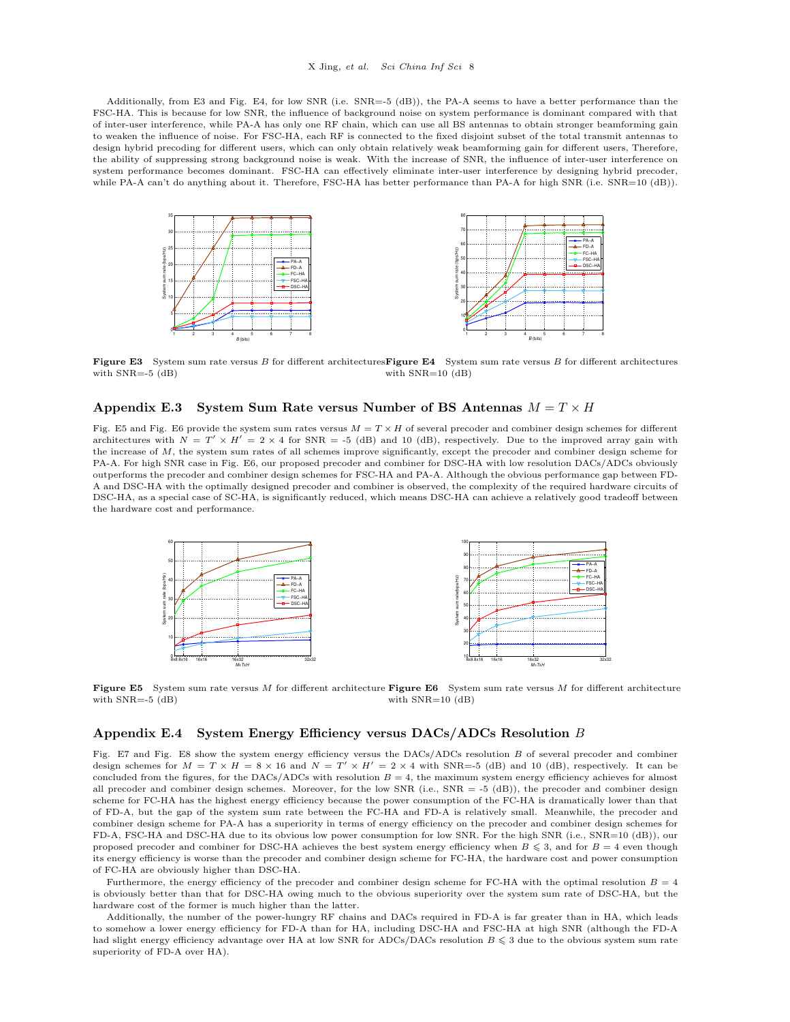Additionally, from [E3](#page-7-0) and Fig. [E4,](#page-7-0) for low SNR (i.e. SNR=-5 (dB)), the PA-A seems to have a better performance than the FSC-HA. This is because for low SNR, the influence of background noise on system performance is dominant compared with that of inter-user interference, while PA-A has only one RF chain, which can use all BS antennas to obtain stronger beamforming gain to weaken the influence of noise. For FSC-HA, each RF is connected to the fixed disjoint subset of the total transmit antennas to design hybrid precoding for different users, which can only obtain relatively weak beamforming gain for different users, Therefore, the ability of suppressing strong background noise is weak. With the increase of SNR, the influence of inter-user interference on system performance becomes dominant. FSC-HA can effectively eliminate inter-user interference by designing hybrid precoder, while PA-A can't do anything about it. Therefore, FSC-HA has better performance than PA-A for high SNR (i.e. SNR=10 (dB)).

<span id="page-7-0"></span>

Figure E3 System sum rate versus B for different architectures Figure E4 System sum rate versus B for different architectures with SNR=-5 (dB) with SNR=10 (dB)

## Appendix E.3 System Sum Rate versus Number of BS Antennas  $M = T \times H$

Fig. [E5](#page-7-1) and Fig. [E6](#page-7-1) provide the system sum rates versus  $M = T \times H$  of several precoder and combiner design schemes for different architectures with  $N = T' \times H' = 2 \times 4$  for SNR = -5 (dB) and 10 (dB), respectively. Due to the improved array gain with the increase of M, the system sum rates of all schemes improve significantly, except the precoder and combiner design scheme for PA-A. For high SNR case in Fig. [E6,](#page-7-1) our proposed precoder and combiner for DSC-HA with low resolution DACs/ADCs obviously outperforms the precoder and combiner design schemes for FSC-HA and PA-A. Although the obvious performance gap between FD-A and DSC-HA with the optimally designed precoder and combiner is observed, the complexity of the required hardware circuits of DSC-HA, as a special case of SC-HA, is significantly reduced, which means DSC-HA can achieve a relatively good tradeoff between the hardware cost and performance.

<span id="page-7-1"></span>

Figure E5 System sum rate versus M for different architecture Figure E6 System sum rate versus M for different architecture with SNR=-5 (dB) with  $SNR=10$  (dB)

# Appendix E.4 System Energy Efficiency versus DACs/ADCs Resolution B

Fig. [E7](#page-8-1) and Fig. [E8](#page-8-1) show the system energy efficiency versus the DACs/ADCs resolution B of several precoder and combiner design schemes for  $M = T \times H = 8 \times 16$  and  $N = T' \times H' = 2 \times 4$  with SNR=-5 (dB) and 10 (dB), respectively. It can be concluded from the figures, for the DACs/ADCs with resolution  $B = 4$ , the maximum system energy efficiency achieves for almost all precoder and combiner design schemes. Moreover, for the low SNR (i.e., SNR = -5 (dB)), the precoder and combiner design scheme for FC-HA has the highest energy efficiency because the power consumption of the FC-HA is dramatically lower than that of FD-A, but the gap of the system sum rate between the FC-HA and FD-A is relatively small. Meanwhile, the precoder and combiner design scheme for PA-A has a superiority in terms of energy efficiency on the precoder and combiner design schemes for FD-A, FSC-HA and DSC-HA due to its obvious low power consumption for low SNR. For the high SNR (i.e., SNR=10 (dB)), our proposed precoder and combiner for DSC-HA achieves the best system energy efficiency when  $B \leq 3$ , and for  $B = 4$  even though its energy efficiency is worse than the precoder and combiner design scheme for FC-HA, the hardware cost and power consumption of FC-HA are obviously higher than DSC-HA.

Furthermore, the energy efficiency of the precoder and combiner design scheme for FC-HA with the optimal resolution  $B = 4$ is obviously better than that for DSC-HA owing much to the obvious superiority over the system sum rate of DSC-HA, but the hardware cost of the former is much higher than the latter.

Additionally, the number of the power-hungry RF chains and DACs required in FD-A is far greater than in HA, which leads to somehow a lower energy efficiency for FD-A than for HA, including DSC-HA and FSC-HA at high SNR (although the FD-A had slight energy efficiency advantage over HA at low SNR for ADCs/DACs resolution  $B \leq 3$  due to the obvious system sum rate superiority of FD-A over HA).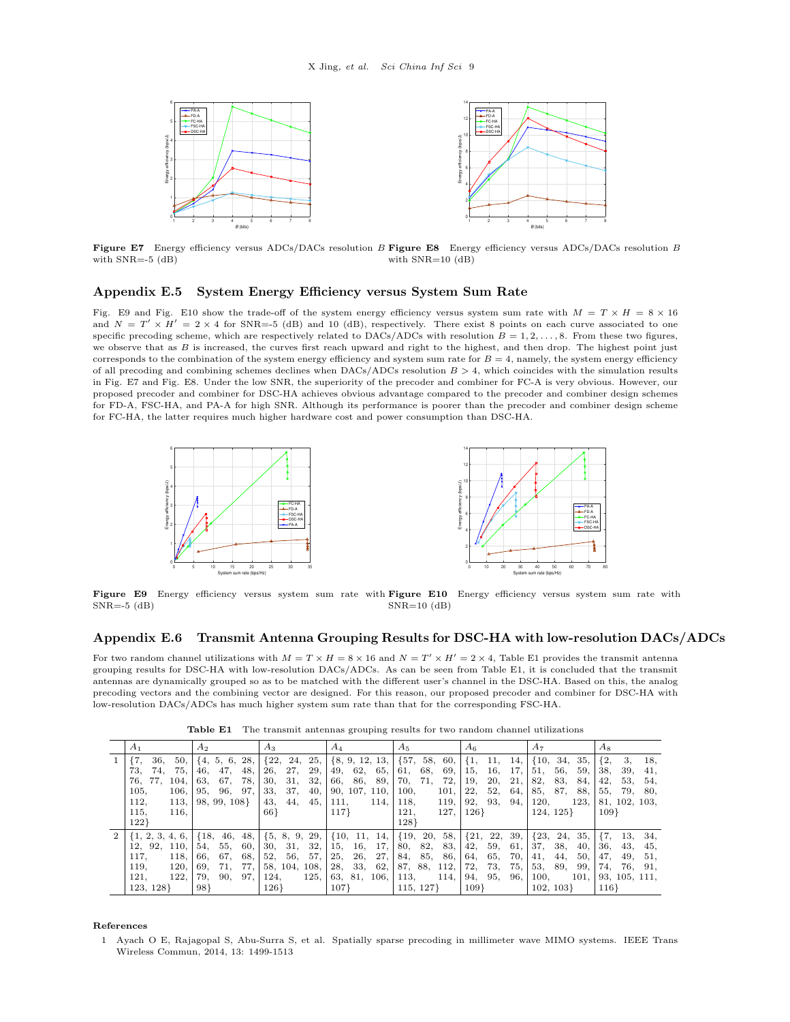<span id="page-8-1"></span>

Figure E7 Energy efficiency versus ADCs/DACs resolution B Figure E8 Energy efficiency versus ADCs/DACs resolution B with SNR=-5 (dB) with SNR=10 (dB)

## Appendix E.5 System Energy Efficiency versus System Sum Rate

Fig. [E9](#page-8-2) and Fig. [E10](#page-8-2) show the trade-off of the system energy efficiency versus system sum rate with  $M = T \times H = 8 \times 16$ and  $N = T' \times H' = 2 \times 4$  for SNR=-5 (dB) and 10 (dB), respectively. There exist 8 points on each curve associated to one specific precoding scheme, which are respectively related to DACs/ADCs with resolution  $B = 1, 2, \ldots, 8$ . From these two figures, we observe that as  $B$  is increased, the curves first reach upward and right to the highest, and then drop. The highest point just corresponds to the combination of the system energy efficiency and system sum rate for  $B = 4$ , namely, the system energy efficiency of all precoding and combining schemes declines when  $DACS/ADC$  resolution  $B > 4$ , which coincides with the simulation results in Fig. [E7](#page-8-1) and Fig. [E8.](#page-8-1) Under the low SNR, the superiority of the precoder and combiner for FC-A is very obvious. However, our proposed precoder and combiner for DSC-HA achieves obvious advantage compared to the precoder and combiner design schemes for FD-A, FSC-HA, and PA-A for high SNR. Although its performance is poorer than the precoder and combiner design scheme for FC-HA, the latter requires much higher hardware cost and power consumption than DSC-HA.

<span id="page-8-2"></span>

Figure E9 Energy efficiency versus system sum rate with Figure E10 Energy efficiency versus system sum rate with  $SNR = -5$  (dB)  $SNR=10$  (dB)

# Appendix E.6 Transmit Antenna Grouping Results for DSC-HA with low-resolution DACs/ADCs

For two random channel utilizations with  $M = T \times H = 8 \times 16$  and  $N = T' \times H' = 2 \times 4$ , Table [E1](#page-8-3) provides the transmit antenna grouping results for DSC-HA with low-resolution DACs/ADCs. As can be seen from Table [E1,](#page-8-3) it is concluded that the transmit antennas are dynamically grouped so as to be matched with the different user's channel in the DSC-HA. Based on this, the analog precoding vectors and the combining vector are designed. For this reason, our proposed precoder and combiner for DSC-HA with low-resolution DACs/ADCs has much higher system sum rate than that for the corresponding FSC-HA.

<span id="page-8-3"></span>

|                | $A_1$                                                                                                | A <sub>2</sub>                                                                                                  | $A_3$                                                                                                 | $A_4$                                                                                                         | $A_5$                                                                                                      | $A_6$                                                                                                               | А7                                                                                                         | $A_8$                                                                                                       |
|----------------|------------------------------------------------------------------------------------------------------|-----------------------------------------------------------------------------------------------------------------|-------------------------------------------------------------------------------------------------------|---------------------------------------------------------------------------------------------------------------|------------------------------------------------------------------------------------------------------------|---------------------------------------------------------------------------------------------------------------------|------------------------------------------------------------------------------------------------------------|-------------------------------------------------------------------------------------------------------------|
|                | ${7.}$<br>36,<br>50,<br>73.<br>75,<br>74.<br>76.<br>77.<br>104.                                      | 5, 6,<br>28,<br>$\{4,$<br>47,<br>48,<br>46,<br>67.<br>78.<br>63,                                                | ${22,$<br>25,<br>24,<br>29,<br>27,<br>26,<br>32,<br>30,<br>31.                                        | $\{8, 9, 12, 13, \}$<br>62,<br>65,<br>49,<br>86.<br>66.<br>89.                                                | $\{57, 58, 60,$<br>61,<br>68,<br>69,<br>70, 71,<br>72,                                                     | $\{1,$<br>11,<br>14,<br>15.<br>16,<br>17,<br>19,<br>20,<br>21,                                                      | $\{10, 34,$<br>- 35.<br>51,<br>56.<br>59.<br>82,<br>83.<br>84.                                             | $\{2,$<br>3.<br>18,<br>38,<br>39.<br>41,<br>42,<br>53.<br>54.                                               |
|                | 105,<br>106,<br>113.<br>112.<br>115,<br>116,<br>122                                                  | 96.<br>97.<br>95,<br>98, 99, 108                                                                                | 33.<br>37.<br>40,<br>43.<br>44,<br>45,<br>66}                                                         | 90, 107, 110,<br>111,<br>114,<br>117                                                                          | 100.<br>101.<br>119,<br>118.<br>127.<br>121,<br>128}                                                       | 22,<br>52,<br>64,<br>92,<br>93.<br>94.<br>126                                                                       | 85,<br>87.<br>88,<br>123,<br>120,<br>124, 125                                                              | 55.<br>79.<br>80.<br>81, 102, 103.<br>109                                                                   |
| $\overline{2}$ | $\{1, 2, 3, 4, 6,$<br>92.<br>12.<br>110,<br>117.<br>118,<br>119.<br>120,<br>122,<br>121,<br>123, 128 | 46,<br>${18,$<br>48,<br>60,<br>55,<br>54,<br>67,<br>68,<br>66,<br>77.<br>71,<br>69.<br>97.<br>90.<br>79.<br>98} | $\{5, 8, 9, 29, \}$<br>32,<br>30.<br>31,<br>52.<br>56,<br>57,<br>58, 104, 108,<br>125,<br>124,<br>126 | $\{10, 11, 14, \vert\}$<br>16,<br>17.<br>15,<br>26,<br>27,<br>25.<br>33.<br>62,<br>28.<br>63, 81, 106,<br>107 | $\vert$ {19, 20, 58,<br>82,<br>80,<br>83,<br>85,<br>86,<br>84,<br>87, 88, 112,<br>113.<br>114.<br>115, 127 | $\{21, 22, 39, \right\}$<br>42,<br>59,<br>61,<br>64,<br>65,<br>70,<br>72.<br>73.<br>75,<br>95.<br>96.<br>94.<br>109 | $\{23, 24, 35,$<br>37.<br>38.<br>40,<br>41,<br>44,<br>50,<br>53,<br>89.<br>99.<br>100.<br>101,<br>102, 103 | 13,<br>${7.}$<br>34,<br>36,<br>43,<br>45.<br>47.<br>49.<br>51.<br>74.<br>76.<br>91.<br>93, 105, 111.<br>116 |

#### <span id="page-8-0"></span>References

1 Ayach O E, Rajagopal S, Abu-Surra S, et al. Spatially sparse precoding in millimeter wave MIMO systems. IEEE Trans Wireless Commun, 2014, 13: 1499-1513